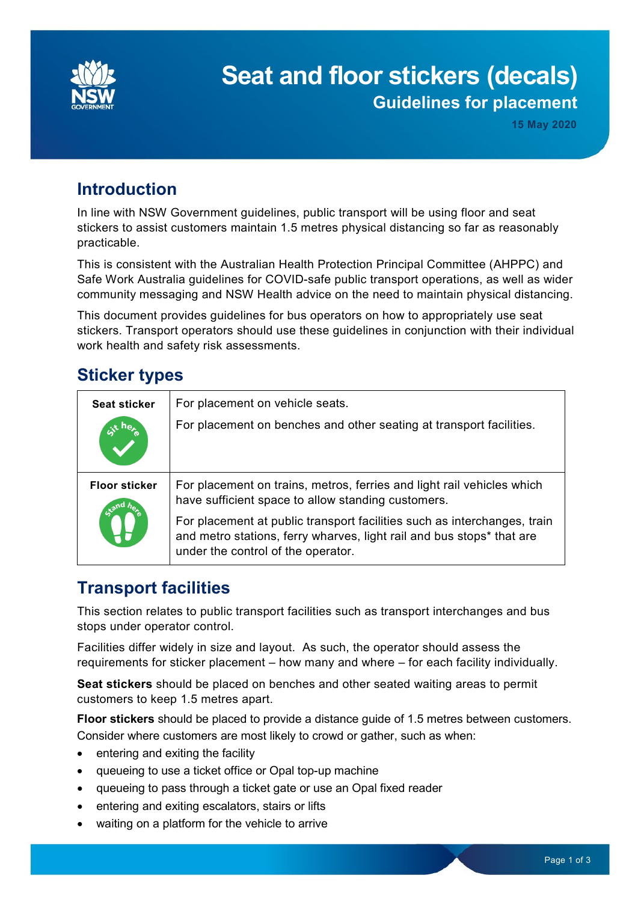

# **Seat and floor stickers (decals) Guidelines for placement**

# **Introduction**

In line with NSW Government guidelines, public transport will be using floor and seat stickers to assist customers maintain 1.5 metres physical distancing so far as reasonably practicable.

This is consistent with the Australian Health Protection Principal Committee (AHPPC) and Safe Work Australia guidelines for COVID-safe public transport operations, as well as wider community messaging and NSW Health advice on the need to maintain physical distancing.

This document provides guidelines for bus operators on how to appropriately use seat stickers. Transport operators should use these guidelines in conjunction with their individual work health and safety risk assessments.

# **Sticker types**

| <b>Seat sticker</b>  | For placement on vehicle seats.                                                                                                                                                         |
|----------------------|-----------------------------------------------------------------------------------------------------------------------------------------------------------------------------------------|
|                      | For placement on benches and other seating at transport facilities.                                                                                                                     |
| <b>Floor sticker</b> | For placement on trains, metros, ferries and light rail vehicles which<br>have sufficient space to allow standing customers.                                                            |
|                      | For placement at public transport facilities such as interchanges, train<br>and metro stations, ferry wharves, light rail and bus stops* that are<br>under the control of the operator. |

# **Transport facilities**

This section relates to public transport facilities such as transport interchanges and bus stops under operator control.

Facilities differ widely in size and layout. As such, the operator should assess the requirements for sticker placement – how many and where – for each facility individually.

**Seat stickers** should be placed on benches and other seated waiting areas to permit customers to keep 1.5 metres apart.

**Floor stickers** should be placed to provide a distance guide of 1.5 metres between customers. Consider where customers are most likely to crowd or gather, such as when:

- entering and exiting the facility
- queueing to use a ticket office or Opal top-up machine
- queueing to pass through a ticket gate or use an Opal fixed reader
- entering and exiting escalators, stairs or lifts
- waiting on a platform for the vehicle to arrive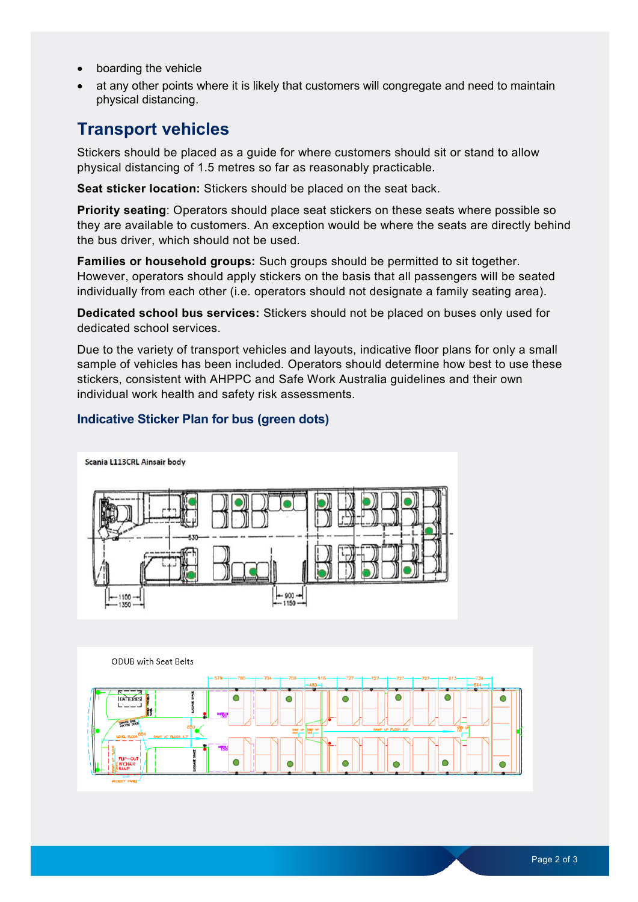- boarding the vehicle
- at any other points where it is likely that customers will congregate and need to maintain physical distancing.

### **Transport vehicles**

Stickers should be placed as a guide for where customers should sit or stand to allow physical distancing of 1.5 metres so far as reasonably practicable.

**Seat sticker location:** Stickers should be placed on the seat back.

**Priority seating**: Operators should place seat stickers on these seats where possible so they are available to customers. An exception would be where the seats are directly behind the bus driver, which should not be used.

**Families or household groups:** Such groups should be permitted to sit together. However, operators should apply stickers on the basis that all passengers will be seated individually from each other (i.e. operators should not designate a family seating area).

**Dedicated school bus services:** Stickers should not be placed on buses only used for dedicated school services.

Due to the variety of transport vehicles and layouts, indicative floor plans for only a small sample of vehicles has been included. Operators should determine how best to use these stickers, consistent with AHPPC and Safe Work Australia guidelines and their own individual work health and safety risk assessments.

#### **Indicative Sticker Plan for bus (green dots)**